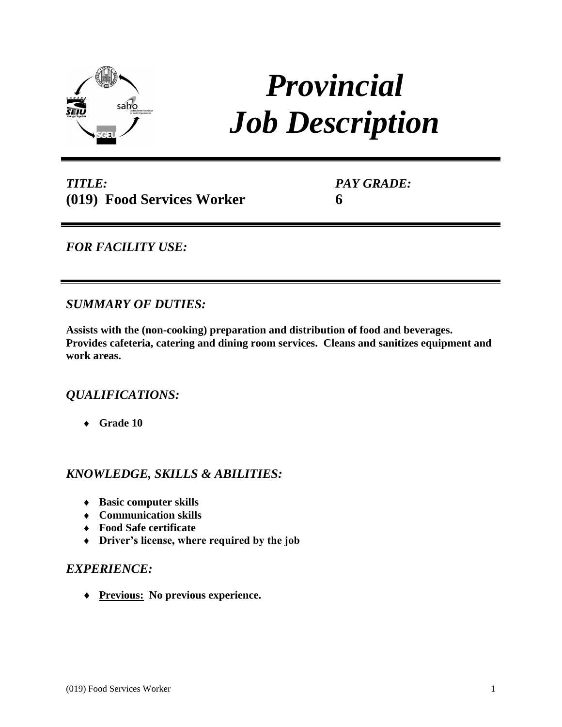

# *Provincial Job Description*

*TITLE:* **(019) Food Services Worker** *PAY GRADE:* **6**

*FOR FACILITY USE:* 

*SUMMARY OF DUTIES:*

**Assists with the (non-cooking) preparation and distribution of food and beverages. Provides cafeteria, catering and dining room services. Cleans and sanitizes equipment and work areas.**

## *QUALIFICATIONS:*

**Grade 10**

## *KNOWLEDGE, SKILLS & ABILITIES:*

- **Basic computer skills**
- **Communication skills**
- **Food Safe certificate**
- **Driver's license, where required by the job**

## *EXPERIENCE:*

**Previous: No previous experience.**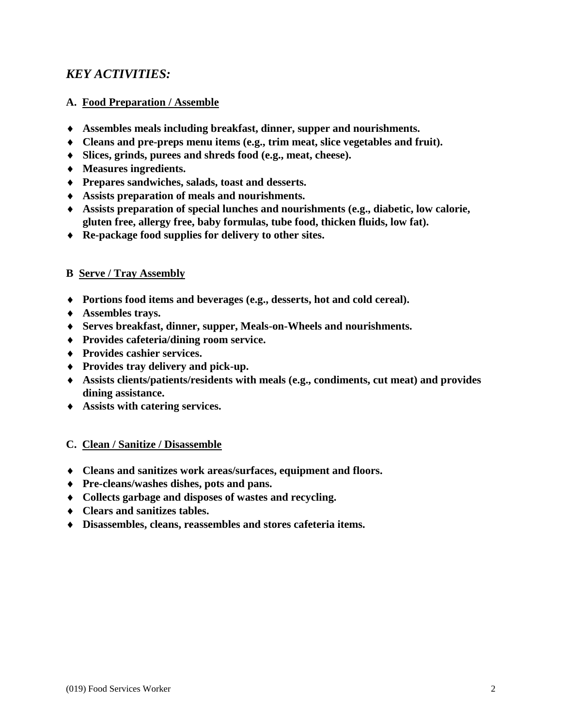## *KEY ACTIVITIES:*

### **A. Food Preparation / Assemble**

- **Assembles meals including breakfast, dinner, supper and nourishments.**
- **Cleans and pre-preps menu items (e.g., trim meat, slice vegetables and fruit).**
- **Slices, grinds, purees and shreds food (e.g., meat, cheese).**
- **Measures ingredients.**
- **Prepares sandwiches, salads, toast and desserts.**
- **Assists preparation of meals and nourishments.**
- **Assists preparation of special lunches and nourishments (e.g., diabetic, low calorie, gluten free, allergy free, baby formulas, tube food, thicken fluids, low fat).**
- **Re-package food supplies for delivery to other sites.**

#### **B Serve / Tray Assembly**

- **Portions food items and beverages (e.g., desserts, hot and cold cereal).**
- **Assembles trays.**
- **Serves breakfast, dinner, supper, Meals-on-Wheels and nourishments.**
- **Provides cafeteria/dining room service.**
- **Provides cashier services.**
- **Provides tray delivery and pick-up.**
- **Assists clients/patients/residents with meals (e.g., condiments, cut meat) and provides dining assistance.**
- **Assists with catering services.**

#### **C. Clean / Sanitize / Disassemble**

- **Cleans and sanitizes work areas/surfaces, equipment and floors.**
- **Pre-cleans/washes dishes, pots and pans.**
- **Collects garbage and disposes of wastes and recycling.**
- **Clears and sanitizes tables.**
- **Disassembles, cleans, reassembles and stores cafeteria items.**